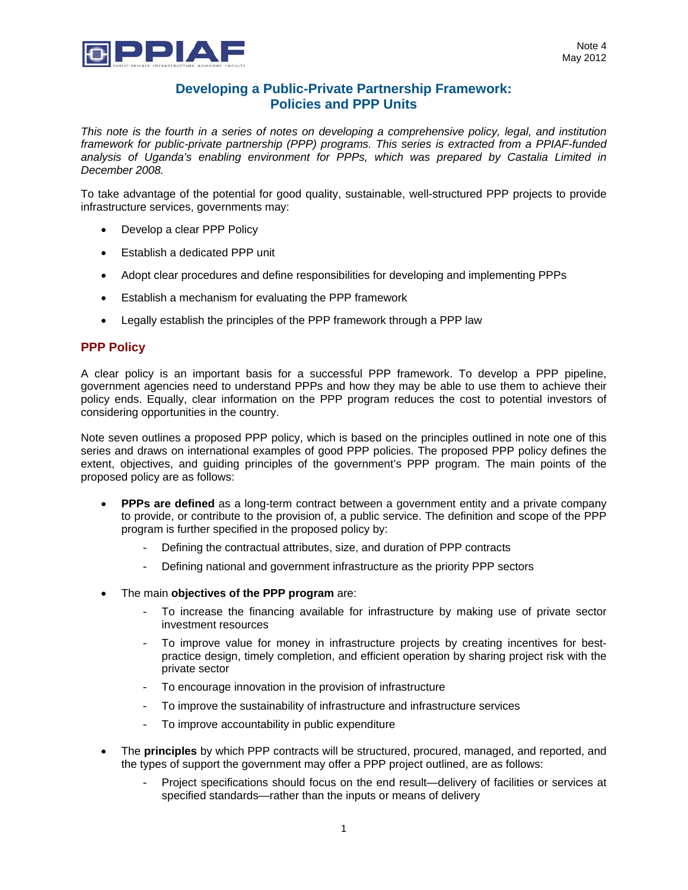

# **Developing a Public-Private Partnership Framework: Policies and PPP Units**

*This note is the fourth in a series of notes on developing a comprehensive policy, legal, and institution framework for public-private partnership (PPP) programs. This series is extracted from a PPIAF-funded analysis of Uganda's enabling environment for PPPs, which was prepared by Castalia Limited in December 2008.* 

To take advantage of the potential for good quality, sustainable, well-structured PPP projects to provide infrastructure services, governments may:

- Develop a clear PPP Policy
- Establish a dedicated PPP unit
- Adopt clear procedures and define responsibilities for developing and implementing PPPs
- **Establish a mechanism for evaluating the PPP framework**
- Legally establish the principles of the PPP framework through a PPP law

## **PPP Policy**

A clear policy is an important basis for a successful PPP framework. To develop a PPP pipeline, government agencies need to understand PPPs and how they may be able to use them to achieve their policy ends. Equally, clear information on the PPP program reduces the cost to potential investors of considering opportunities in the country.

Note seven outlines a proposed PPP policy, which is based on the principles outlined in note one of this series and draws on international examples of good PPP policies. The proposed PPP policy defines the extent, objectives, and guiding principles of the government's PPP program. The main points of the proposed policy are as follows:

- **PPPs are defined** as a long-term contract between a government entity and a private company to provide, or contribute to the provision of, a public service. The definition and scope of the PPP program is further specified in the proposed policy by:
	- Defining the contractual attributes, size, and duration of PPP contracts
	- Defining national and government infrastructure as the priority PPP sectors
- The main **objectives of the PPP program** are:
	- To increase the financing available for infrastructure by making use of private sector investment resources
	- To improve value for money in infrastructure projects by creating incentives for bestpractice design, timely completion, and efficient operation by sharing project risk with the private sector
	- To encourage innovation in the provision of infrastructure
	- To improve the sustainability of infrastructure and infrastructure services
	- To improve accountability in public expenditure
- The **principles** by which PPP contracts will be structured, procured, managed, and reported, and the types of support the government may offer a PPP project outlined, are as follows:
	- Project specifications should focus on the end result—delivery of facilities or services at specified standards—rather than the inputs or means of delivery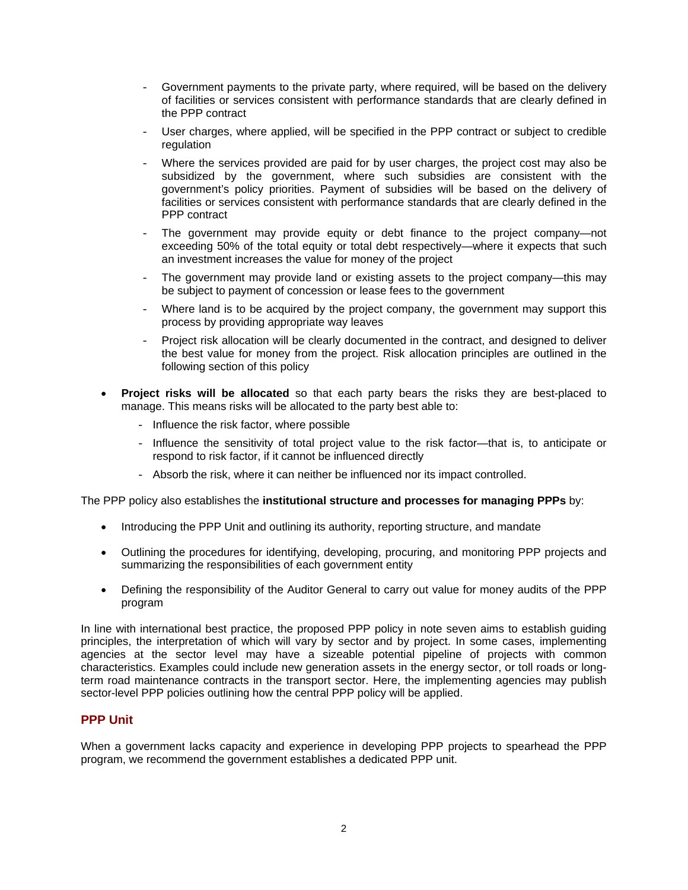- Government payments to the private party, where required, will be based on the delivery of facilities or services consistent with performance standards that are clearly defined in the PPP contract
- User charges, where applied, will be specified in the PPP contract or subject to credible regulation
- Where the services provided are paid for by user charges, the project cost may also be subsidized by the government, where such subsidies are consistent with the government's policy priorities. Payment of subsidies will be based on the delivery of facilities or services consistent with performance standards that are clearly defined in the PPP contract
- The government may provide equity or debt finance to the project company—not exceeding 50% of the total equity or total debt respectively—where it expects that such an investment increases the value for money of the project
- The government may provide land or existing assets to the project company—this may be subject to payment of concession or lease fees to the government
- Where land is to be acquired by the project company, the government may support this process by providing appropriate way leaves
- Project risk allocation will be clearly documented in the contract, and designed to deliver the best value for money from the project. Risk allocation principles are outlined in the following section of this policy
- **Project risks will be allocated** so that each party bears the risks they are best-placed to manage. This means risks will be allocated to the party best able to:
	- Influence the risk factor, where possible
	- Influence the sensitivity of total project value to the risk factor—that is, to anticipate or respond to risk factor, if it cannot be influenced directly
	- Absorb the risk, where it can neither be influenced nor its impact controlled.

The PPP policy also establishes the **institutional structure and processes for managing PPPs** by:

- Introducing the PPP Unit and outlining its authority, reporting structure, and mandate
- Outlining the procedures for identifying, developing, procuring, and monitoring PPP projects and summarizing the responsibilities of each government entity
- Defining the responsibility of the Auditor General to carry out value for money audits of the PPP program

In line with international best practice, the proposed PPP policy in note seven aims to establish guiding principles, the interpretation of which will vary by sector and by project. In some cases, implementing agencies at the sector level may have a sizeable potential pipeline of projects with common characteristics. Examples could include new generation assets in the energy sector, or toll roads or longterm road maintenance contracts in the transport sector. Here, the implementing agencies may publish sector-level PPP policies outlining how the central PPP policy will be applied.

#### **PPP Unit**

When a government lacks capacity and experience in developing PPP projects to spearhead the PPP program, we recommend the government establishes a dedicated PPP unit.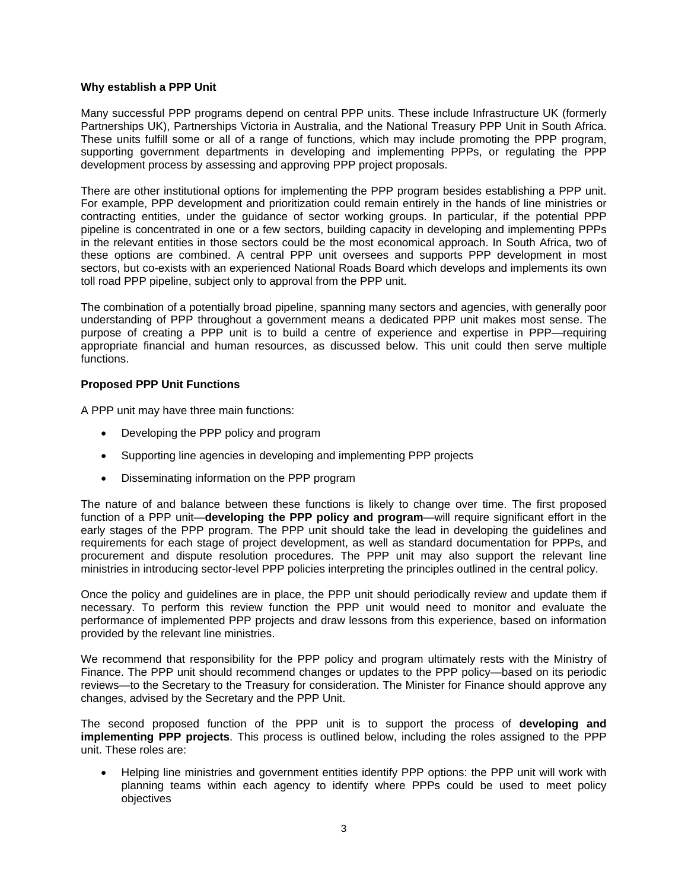#### **Why establish a PPP Unit**

Many successful PPP programs depend on central PPP units. These include Infrastructure UK (formerly Partnerships UK), Partnerships Victoria in Australia, and the National Treasury PPP Unit in South Africa. These units fulfill some or all of a range of functions, which may include promoting the PPP program, supporting government departments in developing and implementing PPPs, or regulating the PPP development process by assessing and approving PPP project proposals.

There are other institutional options for implementing the PPP program besides establishing a PPP unit. For example, PPP development and prioritization could remain entirely in the hands of line ministries or contracting entities, under the guidance of sector working groups. In particular, if the potential PPP pipeline is concentrated in one or a few sectors, building capacity in developing and implementing PPPs in the relevant entities in those sectors could be the most economical approach. In South Africa, two of these options are combined. A central PPP unit oversees and supports PPP development in most sectors, but co-exists with an experienced National Roads Board which develops and implements its own toll road PPP pipeline, subject only to approval from the PPP unit.

The combination of a potentially broad pipeline, spanning many sectors and agencies, with generally poor understanding of PPP throughout a government means a dedicated PPP unit makes most sense. The purpose of creating a PPP unit is to build a centre of experience and expertise in PPP—requiring appropriate financial and human resources, as discussed below. This unit could then serve multiple functions.

## **Proposed PPP Unit Functions**

A PPP unit may have three main functions:

- Developing the PPP policy and program
- Supporting line agencies in developing and implementing PPP projects
- Disseminating information on the PPP program

The nature of and balance between these functions is likely to change over time. The first proposed function of a PPP unit—**developing the PPP policy and program**—will require significant effort in the early stages of the PPP program. The PPP unit should take the lead in developing the guidelines and requirements for each stage of project development, as well as standard documentation for PPPs, and procurement and dispute resolution procedures. The PPP unit may also support the relevant line ministries in introducing sector-level PPP policies interpreting the principles outlined in the central policy.

Once the policy and guidelines are in place, the PPP unit should periodically review and update them if necessary. To perform this review function the PPP unit would need to monitor and evaluate the performance of implemented PPP projects and draw lessons from this experience, based on information provided by the relevant line ministries.

We recommend that responsibility for the PPP policy and program ultimately rests with the Ministry of Finance. The PPP unit should recommend changes or updates to the PPP policy—based on its periodic reviews—to the Secretary to the Treasury for consideration. The Minister for Finance should approve any changes, advised by the Secretary and the PPP Unit.

The second proposed function of the PPP unit is to support the process of **developing and implementing PPP projects**. This process is outlined below, including the roles assigned to the PPP unit. These roles are:

 Helping line ministries and government entities identify PPP options: the PPP unit will work with planning teams within each agency to identify where PPPs could be used to meet policy objectives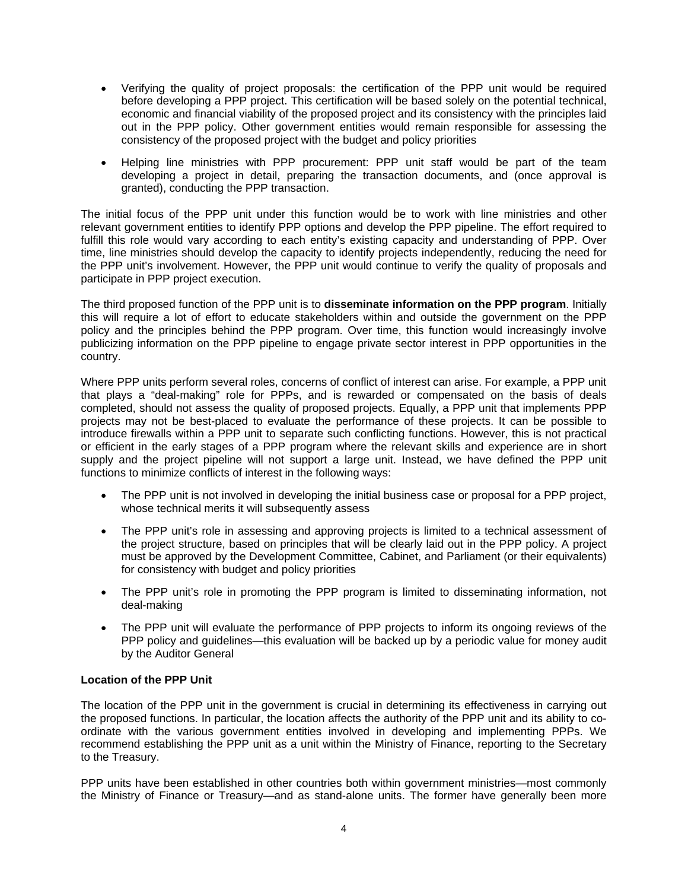- Verifying the quality of project proposals: the certification of the PPP unit would be required before developing a PPP project. This certification will be based solely on the potential technical, economic and financial viability of the proposed project and its consistency with the principles laid out in the PPP policy. Other government entities would remain responsible for assessing the consistency of the proposed project with the budget and policy priorities
- Helping line ministries with PPP procurement: PPP unit staff would be part of the team developing a project in detail, preparing the transaction documents, and (once approval is granted), conducting the PPP transaction.

The initial focus of the PPP unit under this function would be to work with line ministries and other relevant government entities to identify PPP options and develop the PPP pipeline. The effort required to fulfill this role would vary according to each entity's existing capacity and understanding of PPP. Over time, line ministries should develop the capacity to identify projects independently, reducing the need for the PPP unit's involvement. However, the PPP unit would continue to verify the quality of proposals and participate in PPP project execution.

The third proposed function of the PPP unit is to **disseminate information on the PPP program**. Initially this will require a lot of effort to educate stakeholders within and outside the government on the PPP policy and the principles behind the PPP program. Over time, this function would increasingly involve publicizing information on the PPP pipeline to engage private sector interest in PPP opportunities in the country.

Where PPP units perform several roles, concerns of conflict of interest can arise. For example, a PPP unit that plays a "deal-making" role for PPPs, and is rewarded or compensated on the basis of deals completed, should not assess the quality of proposed projects. Equally, a PPP unit that implements PPP projects may not be best-placed to evaluate the performance of these projects. It can be possible to introduce firewalls within a PPP unit to separate such conflicting functions. However, this is not practical or efficient in the early stages of a PPP program where the relevant skills and experience are in short supply and the project pipeline will not support a large unit. Instead, we have defined the PPP unit functions to minimize conflicts of interest in the following ways:

- The PPP unit is not involved in developing the initial business case or proposal for a PPP project, whose technical merits it will subsequently assess
- The PPP unit's role in assessing and approving projects is limited to a technical assessment of the project structure, based on principles that will be clearly laid out in the PPP policy. A project must be approved by the Development Committee, Cabinet, and Parliament (or their equivalents) for consistency with budget and policy priorities
- The PPP unit's role in promoting the PPP program is limited to disseminating information, not deal-making
- The PPP unit will evaluate the performance of PPP projects to inform its ongoing reviews of the PPP policy and guidelines—this evaluation will be backed up by a periodic value for money audit by the Auditor General

## **Location of the PPP Unit**

The location of the PPP unit in the government is crucial in determining its effectiveness in carrying out the proposed functions. In particular, the location affects the authority of the PPP unit and its ability to coordinate with the various government entities involved in developing and implementing PPPs. We recommend establishing the PPP unit as a unit within the Ministry of Finance, reporting to the Secretary to the Treasury.

PPP units have been established in other countries both within government ministries—most commonly the Ministry of Finance or Treasury—and as stand-alone units. The former have generally been more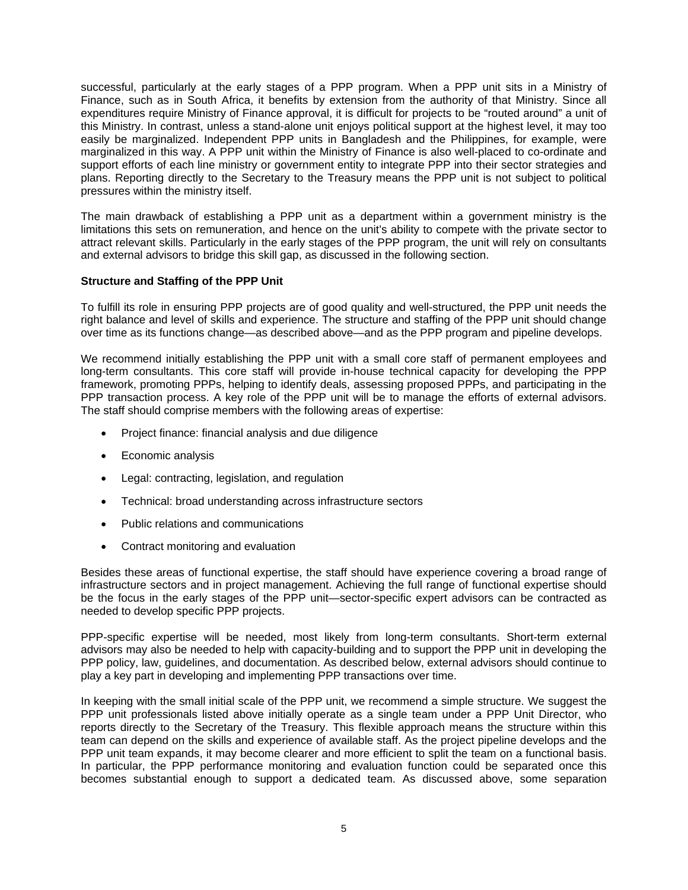successful, particularly at the early stages of a PPP program. When a PPP unit sits in a Ministry of Finance, such as in South Africa, it benefits by extension from the authority of that Ministry. Since all expenditures require Ministry of Finance approval, it is difficult for projects to be "routed around" a unit of this Ministry. In contrast, unless a stand-alone unit enjoys political support at the highest level, it may too easily be marginalized. Independent PPP units in Bangladesh and the Philippines, for example, were marginalized in this way. A PPP unit within the Ministry of Finance is also well-placed to co-ordinate and support efforts of each line ministry or government entity to integrate PPP into their sector strategies and plans. Reporting directly to the Secretary to the Treasury means the PPP unit is not subject to political pressures within the ministry itself.

The main drawback of establishing a PPP unit as a department within a government ministry is the limitations this sets on remuneration, and hence on the unit's ability to compete with the private sector to attract relevant skills. Particularly in the early stages of the PPP program, the unit will rely on consultants and external advisors to bridge this skill gap, as discussed in the following section.

## **Structure and Staffing of the PPP Unit**

To fulfill its role in ensuring PPP projects are of good quality and well-structured, the PPP unit needs the right balance and level of skills and experience. The structure and staffing of the PPP unit should change over time as its functions change—as described above—and as the PPP program and pipeline develops.

We recommend initially establishing the PPP unit with a small core staff of permanent employees and long-term consultants. This core staff will provide in-house technical capacity for developing the PPP framework, promoting PPPs, helping to identify deals, assessing proposed PPPs, and participating in the PPP transaction process. A key role of the PPP unit will be to manage the efforts of external advisors. The staff should comprise members with the following areas of expertise:

- Project finance: financial analysis and due diligence
- Economic analysis
- Legal: contracting, legislation, and regulation
- Technical: broad understanding across infrastructure sectors
- Public relations and communications
- Contract monitoring and evaluation

Besides these areas of functional expertise, the staff should have experience covering a broad range of infrastructure sectors and in project management. Achieving the full range of functional expertise should be the focus in the early stages of the PPP unit—sector-specific expert advisors can be contracted as needed to develop specific PPP projects.

PPP-specific expertise will be needed, most likely from long-term consultants. Short-term external advisors may also be needed to help with capacity-building and to support the PPP unit in developing the PPP policy, law, quidelines, and documentation. As described below, external advisors should continue to play a key part in developing and implementing PPP transactions over time.

In keeping with the small initial scale of the PPP unit, we recommend a simple structure. We suggest the PPP unit professionals listed above initially operate as a single team under a PPP Unit Director, who reports directly to the Secretary of the Treasury. This flexible approach means the structure within this team can depend on the skills and experience of available staff. As the project pipeline develops and the PPP unit team expands, it may become clearer and more efficient to split the team on a functional basis. In particular, the PPP performance monitoring and evaluation function could be separated once this becomes substantial enough to support a dedicated team. As discussed above, some separation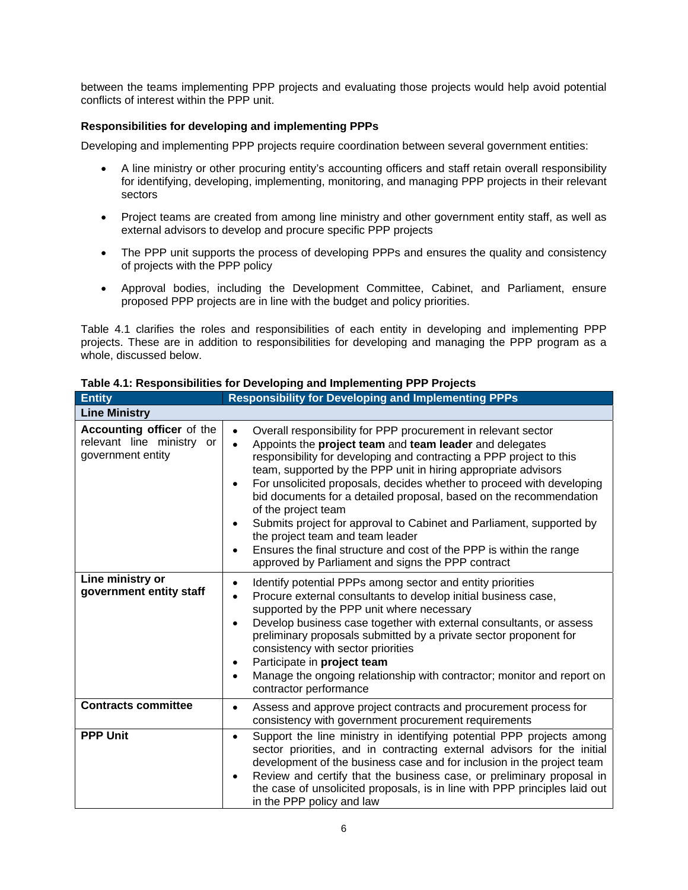between the teams implementing PPP projects and evaluating those projects would help avoid potential conflicts of interest within the PPP unit.

## **Responsibilities for developing and implementing PPPs**

Developing and implementing PPP projects require coordination between several government entities:

- A line ministry or other procuring entity's accounting officers and staff retain overall responsibility for identifying, developing, implementing, monitoring, and managing PPP projects in their relevant sectors
- Project teams are created from among line ministry and other government entity staff, as well as external advisors to develop and procure specific PPP projects
- The PPP unit supports the process of developing PPPs and ensures the quality and consistency of projects with the PPP policy
- Approval bodies, including the Development Committee, Cabinet, and Parliament, ensure proposed PPP projects are in line with the budget and policy priorities.

Table 4.1 clarifies the roles and responsibilities of each entity in developing and implementing PPP projects. These are in addition to responsibilities for developing and managing the PPP program as a whole, discussed below.

| <b>Entity</b>                                                               | <b>Responsibility for Developing and Implementing PPPs</b>                                                                                                                                                                                                                                                                                                                                                                                                                                                                                                                                                                                                                                                                                       |
|-----------------------------------------------------------------------------|--------------------------------------------------------------------------------------------------------------------------------------------------------------------------------------------------------------------------------------------------------------------------------------------------------------------------------------------------------------------------------------------------------------------------------------------------------------------------------------------------------------------------------------------------------------------------------------------------------------------------------------------------------------------------------------------------------------------------------------------------|
| <b>Line Ministry</b>                                                        |                                                                                                                                                                                                                                                                                                                                                                                                                                                                                                                                                                                                                                                                                                                                                  |
| Accounting officer of the<br>relevant line ministry or<br>government entity | Overall responsibility for PPP procurement in relevant sector<br>$\bullet$<br>Appoints the project team and team leader and delegates<br>$\bullet$<br>responsibility for developing and contracting a PPP project to this<br>team, supported by the PPP unit in hiring appropriate advisors<br>For unsolicited proposals, decides whether to proceed with developing<br>$\bullet$<br>bid documents for a detailed proposal, based on the recommendation<br>of the project team<br>Submits project for approval to Cabinet and Parliament, supported by<br>$\bullet$<br>the project team and team leader<br>Ensures the final structure and cost of the PPP is within the range<br>$\bullet$<br>approved by Parliament and signs the PPP contract |
| Line ministry or<br>government entity staff                                 | Identify potential PPPs among sector and entity priorities<br>$\bullet$<br>Procure external consultants to develop initial business case,<br>$\bullet$<br>supported by the PPP unit where necessary<br>Develop business case together with external consultants, or assess<br>$\bullet$<br>preliminary proposals submitted by a private sector proponent for<br>consistency with sector priorities<br>Participate in project team<br>$\bullet$<br>Manage the ongoing relationship with contractor; monitor and report on<br>$\bullet$<br>contractor performance                                                                                                                                                                                  |
| <b>Contracts committee</b>                                                  | Assess and approve project contracts and procurement process for<br>$\bullet$<br>consistency with government procurement requirements                                                                                                                                                                                                                                                                                                                                                                                                                                                                                                                                                                                                            |
| <b>PPP Unit</b>                                                             | Support the line ministry in identifying potential PPP projects among<br>$\bullet$<br>sector priorities, and in contracting external advisors for the initial<br>development of the business case and for inclusion in the project team<br>Review and certify that the business case, or preliminary proposal in<br>$\bullet$<br>the case of unsolicited proposals, is in line with PPP principles laid out<br>in the PPP policy and law                                                                                                                                                                                                                                                                                                         |

**Table 4.1: Responsibilities for Developing and Implementing PPP Projects**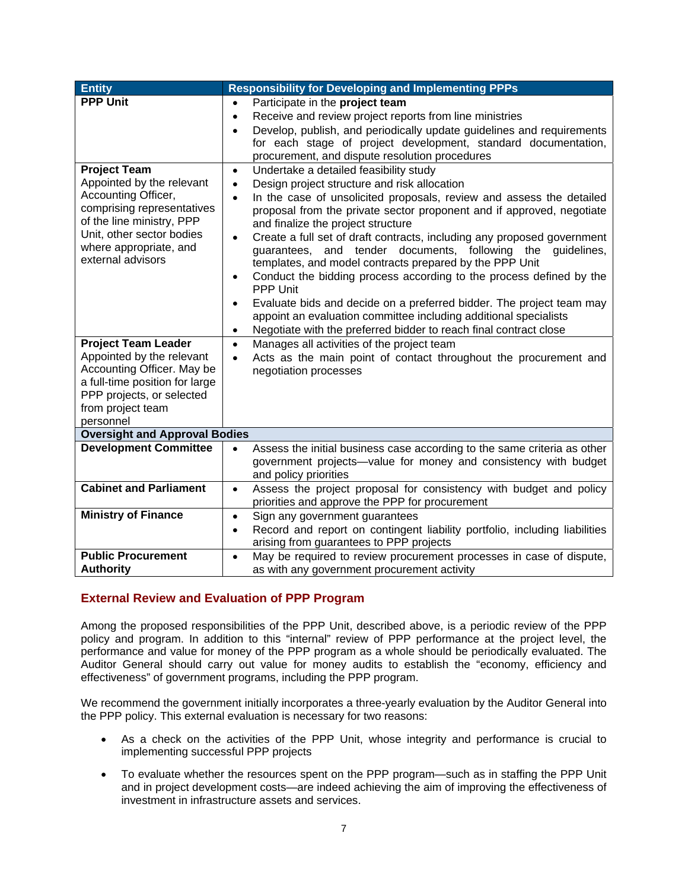| <b>Entity</b>                                                                                                                                                                                                                                                                                                                                                                                                  | <b>Responsibility for Developing and Implementing PPPs</b>                                                                                                                                                                                                                                                                                                                                                                                                                                                                                                                                                                                                                                                                                                                                                                                                                                                                                                                                                                                                                                                                                                                                                                                                                                                                                                                                      |  |
|----------------------------------------------------------------------------------------------------------------------------------------------------------------------------------------------------------------------------------------------------------------------------------------------------------------------------------------------------------------------------------------------------------------|-------------------------------------------------------------------------------------------------------------------------------------------------------------------------------------------------------------------------------------------------------------------------------------------------------------------------------------------------------------------------------------------------------------------------------------------------------------------------------------------------------------------------------------------------------------------------------------------------------------------------------------------------------------------------------------------------------------------------------------------------------------------------------------------------------------------------------------------------------------------------------------------------------------------------------------------------------------------------------------------------------------------------------------------------------------------------------------------------------------------------------------------------------------------------------------------------------------------------------------------------------------------------------------------------------------------------------------------------------------------------------------------------|--|
| <b>PPP Unit</b><br><b>Project Team</b><br>Appointed by the relevant<br>Accounting Officer,<br>comprising representatives<br>of the line ministry, PPP<br>Unit, other sector bodies<br>where appropriate, and<br>external advisors<br><b>Project Team Leader</b><br>Appointed by the relevant<br>Accounting Officer. May be<br>a full-time position for large<br>PPP projects, or selected<br>from project team | Participate in the project team<br>$\bullet$<br>Receive and review project reports from line ministries<br>$\bullet$<br>Develop, publish, and periodically update guidelines and requirements<br>$\bullet$<br>for each stage of project development, standard documentation,<br>procurement, and dispute resolution procedures<br>Undertake a detailed feasibility study<br>$\bullet$<br>Design project structure and risk allocation<br>$\bullet$<br>In the case of unsolicited proposals, review and assess the detailed<br>$\bullet$<br>proposal from the private sector proponent and if approved, negotiate<br>and finalize the project structure<br>Create a full set of draft contracts, including any proposed government<br>$\bullet$<br>guarantees, and tender documents, following the guidelines,<br>templates, and model contracts prepared by the PPP Unit<br>Conduct the bidding process according to the process defined by the<br>$\bullet$<br><b>PPP Unit</b><br>Evaluate bids and decide on a preferred bidder. The project team may<br>$\bullet$<br>appoint an evaluation committee including additional specialists<br>Negotiate with the preferred bidder to reach final contract close<br>$\bullet$<br>Manages all activities of the project team<br>$\bullet$<br>Acts as the main point of contact throughout the procurement and<br>$\bullet$<br>negotiation processes |  |
| personnel<br><b>Oversight and Approval Bodies</b>                                                                                                                                                                                                                                                                                                                                                              |                                                                                                                                                                                                                                                                                                                                                                                                                                                                                                                                                                                                                                                                                                                                                                                                                                                                                                                                                                                                                                                                                                                                                                                                                                                                                                                                                                                                 |  |
| <b>Development Committee</b>                                                                                                                                                                                                                                                                                                                                                                                   | Assess the initial business case according to the same criteria as other<br>$\bullet$<br>government projects-value for money and consistency with budget<br>and policy priorities                                                                                                                                                                                                                                                                                                                                                                                                                                                                                                                                                                                                                                                                                                                                                                                                                                                                                                                                                                                                                                                                                                                                                                                                               |  |
| <b>Cabinet and Parliament</b>                                                                                                                                                                                                                                                                                                                                                                                  | Assess the project proposal for consistency with budget and policy<br>$\bullet$<br>priorities and approve the PPP for procurement                                                                                                                                                                                                                                                                                                                                                                                                                                                                                                                                                                                                                                                                                                                                                                                                                                                                                                                                                                                                                                                                                                                                                                                                                                                               |  |
| <b>Ministry of Finance</b>                                                                                                                                                                                                                                                                                                                                                                                     | Sign any government guarantees<br>$\bullet$<br>Record and report on contingent liability portfolio, including liabilities<br>$\bullet$<br>arising from guarantees to PPP projects                                                                                                                                                                                                                                                                                                                                                                                                                                                                                                                                                                                                                                                                                                                                                                                                                                                                                                                                                                                                                                                                                                                                                                                                               |  |
| <b>Public Procurement</b><br><b>Authority</b>                                                                                                                                                                                                                                                                                                                                                                  | May be required to review procurement processes in case of dispute,<br>$\bullet$<br>as with any government procurement activity                                                                                                                                                                                                                                                                                                                                                                                                                                                                                                                                                                                                                                                                                                                                                                                                                                                                                                                                                                                                                                                                                                                                                                                                                                                                 |  |

# **External Review and Evaluation of PPP Program**

Among the proposed responsibilities of the PPP Unit, described above, is a periodic review of the PPP policy and program. In addition to this "internal" review of PPP performance at the project level, the performance and value for money of the PPP program as a whole should be periodically evaluated. The Auditor General should carry out value for money audits to establish the "economy, efficiency and effectiveness" of government programs, including the PPP program.

We recommend the government initially incorporates a three-yearly evaluation by the Auditor General into the PPP policy. This external evaluation is necessary for two reasons:

- As a check on the activities of the PPP Unit, whose integrity and performance is crucial to implementing successful PPP projects
- To evaluate whether the resources spent on the PPP program—such as in staffing the PPP Unit and in project development costs—are indeed achieving the aim of improving the effectiveness of investment in infrastructure assets and services.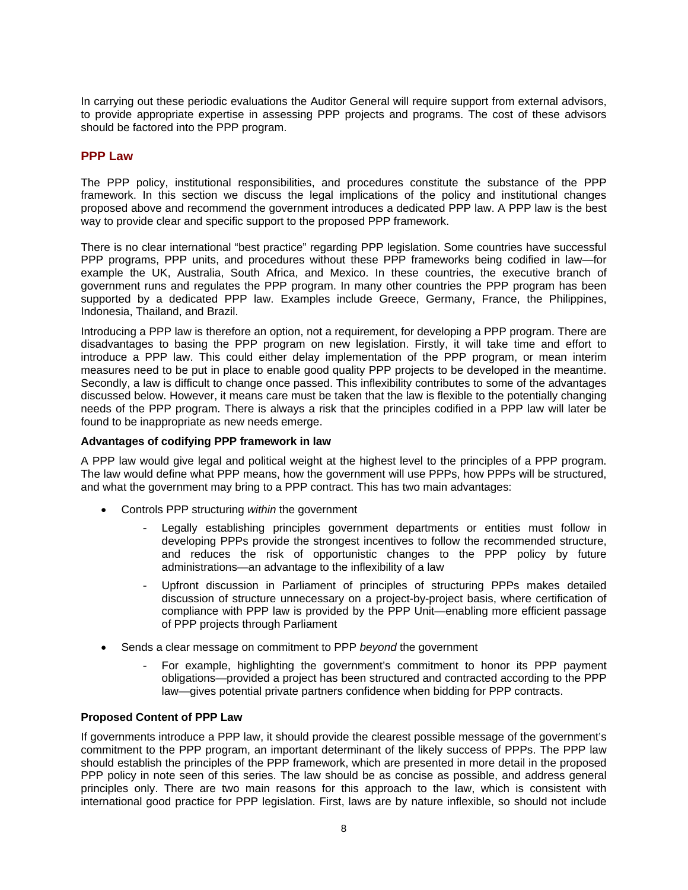In carrying out these periodic evaluations the Auditor General will require support from external advisors, to provide appropriate expertise in assessing PPP projects and programs. The cost of these advisors should be factored into the PPP program.

## **PPP Law**

The PPP policy, institutional responsibilities, and procedures constitute the substance of the PPP framework. In this section we discuss the legal implications of the policy and institutional changes proposed above and recommend the government introduces a dedicated PPP law. A PPP law is the best way to provide clear and specific support to the proposed PPP framework.

There is no clear international "best practice" regarding PPP legislation. Some countries have successful PPP programs, PPP units, and procedures without these PPP frameworks being codified in law—for example the UK, Australia, South Africa, and Mexico. In these countries, the executive branch of government runs and regulates the PPP program. In many other countries the PPP program has been supported by a dedicated PPP law. Examples include Greece, Germany, France, the Philippines, Indonesia, Thailand, and Brazil.

Introducing a PPP law is therefore an option, not a requirement, for developing a PPP program. There are disadvantages to basing the PPP program on new legislation. Firstly, it will take time and effort to introduce a PPP law. This could either delay implementation of the PPP program, or mean interim measures need to be put in place to enable good quality PPP projects to be developed in the meantime. Secondly, a law is difficult to change once passed. This inflexibility contributes to some of the advantages discussed below. However, it means care must be taken that the law is flexible to the potentially changing needs of the PPP program. There is always a risk that the principles codified in a PPP law will later be found to be inappropriate as new needs emerge.

#### **Advantages of codifying PPP framework in law**

A PPP law would give legal and political weight at the highest level to the principles of a PPP program. The law would define what PPP means, how the government will use PPPs, how PPPs will be structured, and what the government may bring to a PPP contract. This has two main advantages:

- Controls PPP structuring *within* the government
	- Legally establishing principles government departments or entities must follow in developing PPPs provide the strongest incentives to follow the recommended structure, and reduces the risk of opportunistic changes to the PPP policy by future administrations—an advantage to the inflexibility of a law
	- Upfront discussion in Parliament of principles of structuring PPPs makes detailed discussion of structure unnecessary on a project-by-project basis, where certification of compliance with PPP law is provided by the PPP Unit—enabling more efficient passage of PPP projects through Parliament
- Sends a clear message on commitment to PPP *beyond* the government
	- For example, highlighting the government's commitment to honor its PPP payment obligations—provided a project has been structured and contracted according to the PPP law—gives potential private partners confidence when bidding for PPP contracts.

#### **Proposed Content of PPP Law**

If governments introduce a PPP law, it should provide the clearest possible message of the government's commitment to the PPP program, an important determinant of the likely success of PPPs. The PPP law should establish the principles of the PPP framework, which are presented in more detail in the proposed PPP policy in note seen of this series. The law should be as concise as possible, and address general principles only. There are two main reasons for this approach to the law, which is consistent with international good practice for PPP legislation. First, laws are by nature inflexible, so should not include